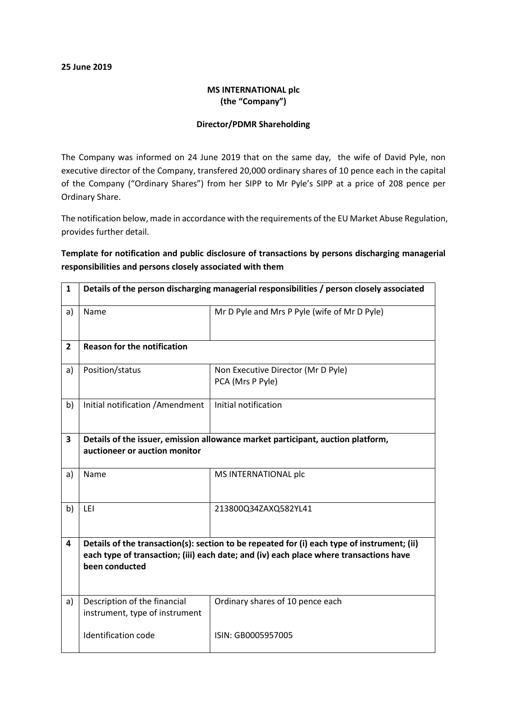#### 25 June 2019

### MS INTERNATIONAL plc (the "Company")

#### Director/PDMR Shareholding

The Company was informed on 24 June 2019 that on the same day, the wife of David Pyle, non executive director of the Company, transfered 20,000 ordinary shares of 10 pence each in the capital of the Company ("Ordinary Shares") from her SIPP to Mr Pyle's SIPP at a price of 208 pence per Ordinary Share.

The notification below, made in accordance with the requirements of the EU Market Abuse Regulation, provides further detail.

## Template for notification and public disclosure of transactions by persons discharging managerial responsibilities and persons closely associated with them

| $\mathbf{1}$   | Details of the person discharging managerial responsibilities / person closely associated                                                                                                               |                                                        |
|----------------|---------------------------------------------------------------------------------------------------------------------------------------------------------------------------------------------------------|--------------------------------------------------------|
| a)             | Name                                                                                                                                                                                                    | Mr D Pyle and Mrs P Pyle (wife of Mr D Pyle)           |
| $\overline{2}$ | <b>Reason for the notification</b>                                                                                                                                                                      |                                                        |
| a)             | Position/status                                                                                                                                                                                         | Non Executive Director (Mr D Pyle)<br>PCA (Mrs P Pyle) |
| b)             | Initial notification / Amendment                                                                                                                                                                        | Initial notification                                   |
| 3              | Details of the issuer, emission allowance market participant, auction platform,<br>auctioneer or auction monitor                                                                                        |                                                        |
| a)             | Name                                                                                                                                                                                                    | MS INTERNATIONAL plc                                   |
| b)             | LEI                                                                                                                                                                                                     | 213800Q34ZAXQ582YL41                                   |
| 4              | Details of the transaction(s): section to be repeated for (i) each type of instrument; (ii)<br>each type of transaction; (iii) each date; and (iv) each place where transactions have<br>been conducted |                                                        |
| a)             | Description of the financial<br>instrument, type of instrument                                                                                                                                          | Ordinary shares of 10 pence each                       |
|                | <b>Identification code</b>                                                                                                                                                                              | ISIN: GB0005957005                                     |